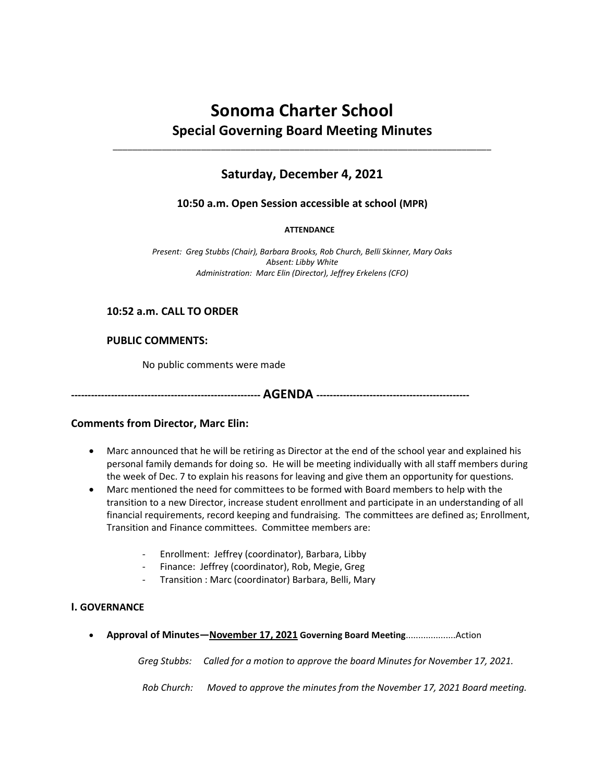# **Sonoma Charter School Special Governing Board Meeting Minutes**

# **Saturday, December 4, 2021**

\_\_\_\_\_\_\_\_\_\_\_\_\_\_\_\_\_\_\_\_\_\_\_\_\_\_\_\_\_\_\_\_\_\_\_\_\_\_\_\_\_\_\_\_\_\_\_\_\_\_\_\_\_\_\_\_\_\_\_\_\_\_\_\_\_\_\_\_\_\_\_\_\_\_\_\_\_

# **10:50 a.m. Open Session accessible at school (MPR)**

#### **ATTENDANCE**

*Present: Greg Stubbs (Chair), Barbara Brooks, Rob Church, Belli Skinner, Mary Oaks Absent: Libby White Administration: Marc Elin (Director), Jeffrey Erkelens (CFO)*

# **10:52 a.m. CALL TO ORDER**

## **PUBLIC COMMENTS:**

No public comments were made

**--------------------------------------------------------- AGENDA ----------------------------------------------**

# **Comments from Director, Marc Elin:**

- Marc announced that he will be retiring as Director at the end of the school year and explained his personal family demands for doing so. He will be meeting individually with all staff members during the week of Dec. 7 to explain his reasons for leaving and give them an opportunity for questions.
- Marc mentioned the need for committees to be formed with Board members to help with the transition to a new Director, increase student enrollment and participate in an understanding of all financial requirements, record keeping and fundraising. The committees are defined as; Enrollment, Transition and Finance committees. Committee members are:
	- Enrollment: Jeffrey (coordinator), Barbara, Libby
	- Finance: Jeffrey (coordinator), Rob, Megie, Greg
	- Transition : Marc (coordinator) Barbara, Belli, Mary

#### **I. GOVERNANCE**

**Approval of Minutes—November 17, 2021 Governing Board Meeting**....................Action

*Greg Stubbs: Called for a motion to approve the board Minutes for November 17, 2021.*

*Rob Church: Moved to approve the minutes from the November 17, 2021 Board meeting.*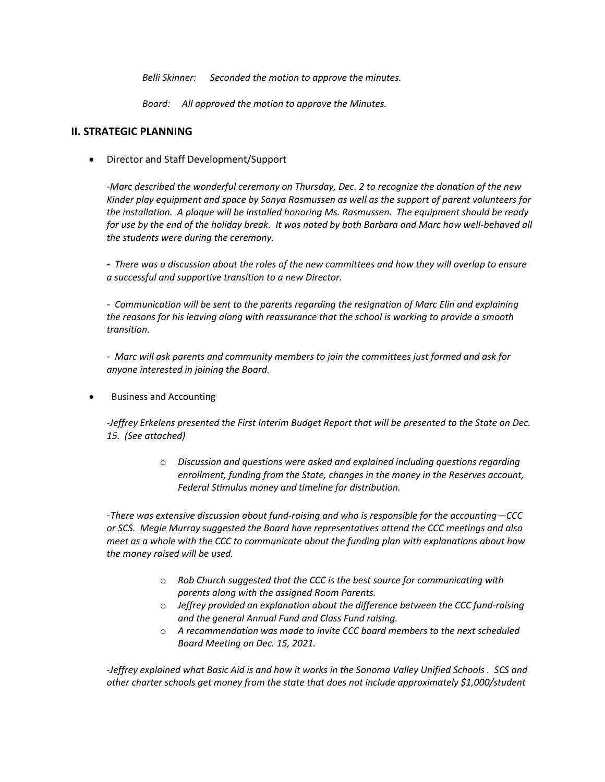*Belli Skinner: Seconded the motion to approve the minutes.*

*Board: All approved the motion to approve the Minutes.*

### **II. STRATEGIC PLANNING**

Director and Staff Development/Support

*-Marc described the wonderful ceremony on Thursday, Dec. 2 to recognize the donation of the new Kinder play equipment and space by Sonya Rasmussen as well as the support of parent volunteers for the installation. A plaque will be installed honoring Ms. Rasmussen. The equipment should be ready for use by the end of the holiday break. It was noted by both Barbara and Marc how well-behaved all the students were during the ceremony.*

*- There was a discussion about the roles of the new committees and how they will overlap to ensure a successful and supportive transition to a new Director.* 

*- Communication will be sent to the parents regarding the resignation of Marc Elin and explaining the reasons for his leaving along with reassurance that the school is working to provide a smooth transition.*

*- Marc will ask parents and community members to join the committees just formed and ask for anyone interested in joining the Board.*

Business and Accounting

-*Jeffrey Erkelens presented the First Interim Budget Report that will be presented to the State on Dec. 15. (See attached)*

> o *Discussion and questions were asked and explained including questions regarding enrollment, funding from the State, changes in the money in the Reserves account, Federal Stimulus money and timeline for distribution.*

-*There was extensive discussion about fund-raising and who is responsible for the accounting—CCC or SCS. Megie Murray suggested the Board have representatives attend the CCC meetings and also meet as a whole with the CCC to communicate about the funding plan with explanations about how the money raised will be used.*

- o *Rob Church suggested that the CCC is the best source for communicating with parents along with the assigned Room Parents.*
- o *Jeffrey provided an explanation about the difference between the CCC fund-raising and the general Annual Fund and Class Fund raising.*
- o *A recommendation was made to invite CCC board members to the next scheduled Board Meeting on Dec. 15, 2021.*

*-Jeffrey explained what Basic Aid is and how it works in the Sonoma Valley Unified Schools . SCS and other charter schools get money from the state that does not include approximately \$1,000/student*